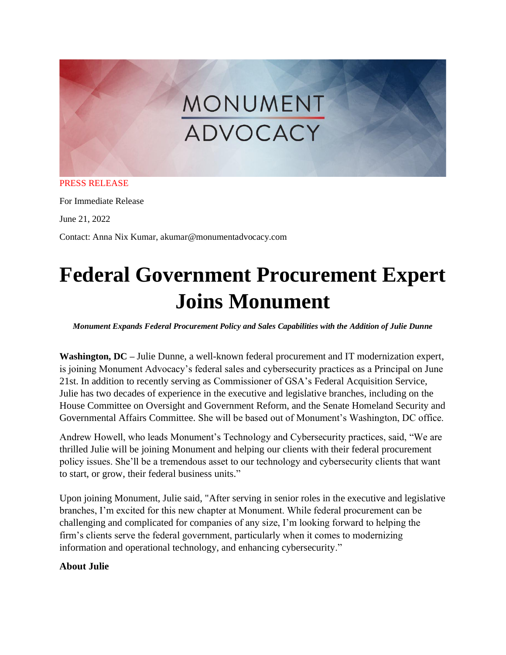# MONUMENT ADVOCACY

#### PRESS RELEASE

For Immediate Release

June 21, 2022

Contact: Anna Nix Kumar, akumar@monumentadvocacy.com

## **Federal Government Procurement Expert Joins Monument**

*Monument Expands Federal Procurement Policy and Sales Capabilities with the Addition of Julie Dunne*

**Washington, DC –** Julie Dunne, a well-known federal procurement and IT modernization expert, is joining Monument Advocacy's federal sales and cybersecurity practices as a Principal on June 21st. In addition to recently serving as Commissioner of GSA's Federal Acquisition Service, Julie has two decades of experience in the executive and legislative branches, including on the House Committee on Oversight and Government Reform, and the Senate Homeland Security and Governmental Affairs Committee. She will be based out of Monument's Washington, DC office.

Andrew Howell, who leads Monument's Technology and Cybersecurity practices, said, "We are thrilled Julie will be joining Monument and helping our clients with their federal procurement policy issues. She'll be a tremendous asset to our technology and cybersecurity clients that want to start, or grow, their federal business units."

Upon joining Monument, Julie said, "After serving in senior roles in the executive and legislative branches, I'm excited for this new chapter at Monument. While federal procurement can be challenging and complicated for companies of any size, I'm looking forward to helping the firm's clients serve the federal government, particularly when it comes to modernizing information and operational technology, and enhancing cybersecurity."

### **About Julie**